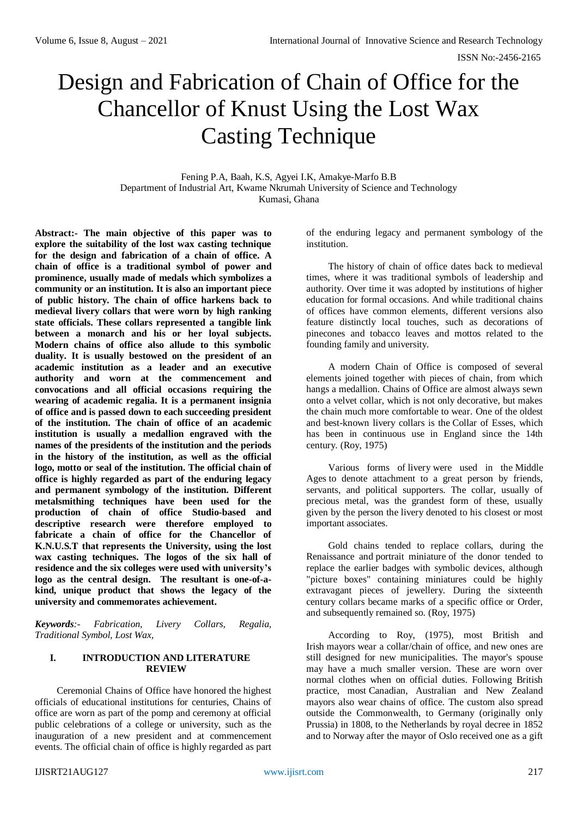# Design and Fabrication of Chain of Office for the Chancellor of Knust Using the Lost Wax Casting Technique

Fening P.A, Baah, K.S, Agyei I.K, Amakye-Marfo B.B Department of Industrial Art, Kwame Nkrumah University of Science and Technology Kumasi, Ghana

**Abstract:- The main objective of this paper was to explore the suitability of the lost wax casting technique for the design and fabrication of a chain of office. A chain of office is a traditional symbol of power and prominence, usually made of medals which symbolizes a community or an institution. It is also an important piece of public history. The chain of office harkens back to medieval livery collars that were worn by high ranking state officials. These collars represented a tangible link between a monarch and his or her loyal subjects. Modern chains of office also allude to this symbolic duality. It is usually bestowed on the president of an academic institution as a leader and an executive authority and worn at the commencement and convocations and all official occasions requiring the wearing of academic regalia. It is a permanent insignia of office and is passed down to each succeeding president of the institution. The chain of office of an academic institution is usually a medallion engraved with the names of the presidents of the institution and the periods in the history of the institution, as well as the official logo, motto or seal of the institution. The official chain of office is highly regarded as part of the enduring legacy and permanent symbology of the institution. Different metalsmithing techniques have been used for the production of chain of office Studio-based and descriptive research were therefore employed to fabricate a chain of office for the Chancellor of K.N.U.S.T that represents the University, using the lost wax casting techniques. The logos of the six hall of residence and the six colleges were used with university's logo as the central design. The resultant is one-of-akind, unique product that shows the legacy of the university and commemorates achievement.**

*Keywords:- Fabrication, Livery Collars, Regalia, Traditional Symbol, Lost Wax,*

# **I. INTRODUCTION AND LITERATURE REVIEW**

Ceremonial Chains of Office have honored the highest officials of educational institutions for centuries, Chains of office are worn as part of the pomp and ceremony at official public celebrations of a college or university, such as the inauguration of a new president and at commencement events. The official chain of office is highly regarded as part

of the enduring legacy and permanent symbology of the institution.

The history of chain of office dates back to medieval times, where it was traditional symbols of leadership and authority. Over time it was adopted by institutions of higher education for formal occasions. And while traditional chains of offices have common elements, different versions also feature distinctly local touches, such as decorations of pinecones and tobacco leaves and mottos related to the founding family and university.

A modern Chain of Office is composed of several elements joined together with pieces of chain, from which hangs a medallion. Chains of Office are almost always sewn onto a velvet collar, which is not only decorative, but makes the chain much more comfortable to wear. One of the oldest and best-known livery collars is the Collar of Esses, which has been in continuous use in England since the 14th century. (Roy, 1975)

Various forms of livery were used in the Middle Ages to denote attachment to a great person by friends, servants, and political supporters. The collar, usually of precious metal, was the grandest form of these, usually given by the person the livery denoted to his closest or most important associates.

Gold chains tended to replace collars, during the Renaissance and [portrait miniature](https://en.wikipedia.org/wiki/Portrait_miniature) of the donor tended to replace the earlier badges with symbolic devices, although "picture boxes" containing miniatures could be highly extravagant pieces of jewellery. During the sixteenth century collars became marks of a specific office or Order, and subsequently remained so. (Roy, 1975)

According to Roy, (1975), most British and Irish [mayors](https://en.wikipedia.org/wiki/Mayor) wear a collar/chain of office, and new ones are still designed for new municipalities. The mayor's spouse may have a much smaller version. These are worn over normal clothes when on official duties. Following British practice, most [Canadian,](https://en.wikipedia.org/wiki/Canada) Australian and New Zealand mayors also wear chains of office. The custom also spread outside the Commonwealth, to Germany (originally only Prussia) in 1808, to the Netherlands by royal decree in 1852 and to Norway after the mayor of Oslo received one as a gift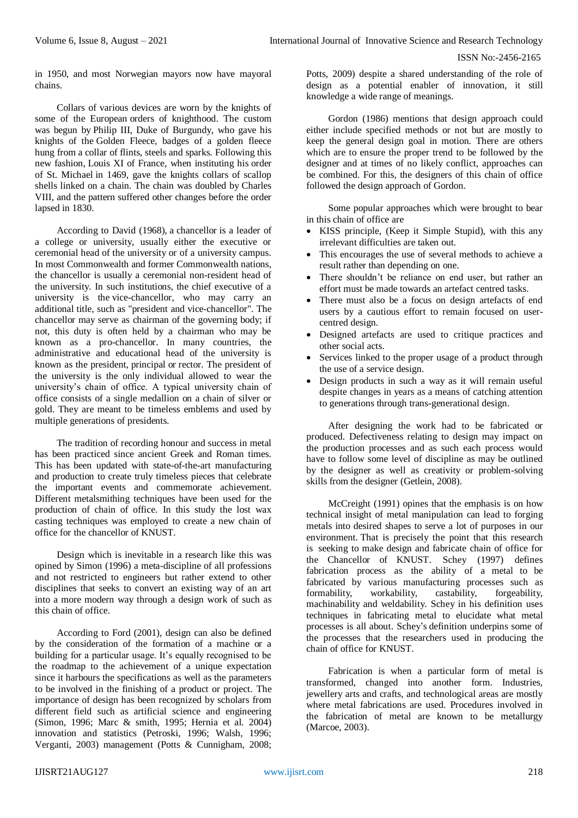in 1950, and most Norwegian mayors now have mayoral chains.

Collars of various devices are worn by the knights of some of the European [orders of knighthood.](https://en.wikipedia.org/wiki/Orders_of_knighthood) The custom was begun by [Philip III, Duke of Burgundy,](https://en.wikipedia.org/wiki/Philip_III,_Duke_of_Burgundy) who gave his knights of the [Golden Fleece,](https://en.wikipedia.org/wiki/Order_of_the_Golden_Fleece) badges of a golden fleece hung from a collar of flints, steels and sparks. Following this new fashion, [Louis XI of France,](https://en.wikipedia.org/wiki/Louis_XI_of_France) when instituting his [order](https://en.wikipedia.org/wiki/Order_of_St._Michael)  [of St. Michael](https://en.wikipedia.org/wiki/Order_of_St._Michael) in 1469, gave the knights collars of scallop shells linked on a chain. The chain was doubled by [Charles](https://en.wikipedia.org/wiki/Charles_VIII_of_France)  [VIII,](https://en.wikipedia.org/wiki/Charles_VIII_of_France) and the pattern suffered other changes before the order lapsed in 1830.

According to David (1968), a chancellor is a leader of a college or university, usually either the executive or ceremonial head of the university or of a university campus. In most [Commonwealth](https://en.wikipedia.org/wiki/Commonwealth_of_Nations) and former Commonwealth nations, the chancellor is usually a ceremonial non-resident head of the university. In such institutions, the chief executive of a university is the vice-chancellor, who may carry an additional title, such as "president and vice-chancellor". The chancellor may serve as chairman of the governing body; if not, this duty is often held by a chairman who may be known as a pro-chancellor. In many countries, the administrative and educational head of the university is known as the president, [principal](https://en.wikipedia.org/wiki/Principal_(academia)) or [rector.](https://en.wikipedia.org/wiki/Rector_(academia)) The president of the university is the only individual allowed to wear the university's chain of office. A typical university chain of office consists of a single medallion on a chain of silver or gold. They are meant to be timeless emblems and used by multiple generations of presidents.

The tradition of recording honour and success in metal has been practiced since ancient Greek and Roman times. This has been updated with state-of-the-art manufacturing and production to create truly timeless pieces that celebrate the important events and commemorate achievement. Different metalsmithing techniques have been used for the production of chain of office. In this study the lost wax casting techniques was employed to create a new chain of office for the chancellor of KNUST.

Design which is inevitable in a research like this was opined by Simon (1996) a meta-discipline of all professions and not restricted to engineers but rather extend to other disciplines that seeks to convert an existing way of an art into a more modern way through a design work of such as this chain of office.

According to Ford (2001), design can also be defined by the consideration of the formation of a machine or a building for a particular usage. It's equally recognised to be the roadmap to the achievement of a unique expectation since it harbours the specifications as well as the parameters to be involved in the finishing of a product or project. The importance of design has been recognized by scholars from different field such as artificial science and engineering (Simon, 1996; Marc & smith, 1995; Hernia et al. 2004) innovation and statistics (Petroski, 1996; Walsh, 1996; Verganti, 2003) management (Potts & Cunnigham, 2008;

Potts, 2009) despite a shared understanding of the role of design as a potential enabler of innovation, it still knowledge a wide range of meanings.

Gordon (1986) mentions that design approach could either include specified methods or not but are mostly to keep the general design goal in motion. There are others which are to ensure the proper trend to be followed by the designer and at times of no likely conflict, approaches can be combined. For this, the designers of this chain of office followed the design approach of Gordon.

Some popular approaches which were brought to bear in this chain of office are

- [KISS principle,](file:///C:/wiki/KISS_principle) (Keep it Simple Stupid), with this any irrelevant difficulties are taken out.
- This encourages the use of several methods to achieve a result rather than depending on one.
- There shouldn't be reliance on end user, but rather an effort must be made towards an artefact centred tasks.
- There must also be a focus on design artefacts of end users by a cautious effort to remain focused on [user](file:///C:/wiki/User-centered_design)[centred design.](file:///C:/wiki/User-centered_design)
- Designed artefacts are used to critique practices and other social acts.
- Services linked to the proper usage of a product through the use of a [service design.](file:///C:/wiki/Service_design)
- Design products in such a way as it will remain useful despite changes in years as a means of catching attention to generations throug[h trans-generational design.](file:///C:/wiki/Transgenerational_design)

After designing the work had to be fabricated or produced. Defectiveness relating to design may impact on the production processes and as such each process would have to follow some level of discipline as may be outlined by the designer as well as creativity or problem-solving skills from the designer (Getlein, 2008).

McCreight (1991) opines that the emphasis is on how technical insight of metal manipulation can lead to forging metals into desired shapes to serve a lot of purposes in our environment. That is precisely the point that this research is seeking to make design and fabricate chain of office for the Chancellor of KNUST. Schey (1997) defines fabrication process as the ability of a metal to be fabricated by various manufacturing processes such as formability, workability, castability, forgeability, formability, workability, machinability and weldability. Schey in his definition uses techniques in fabricating metal to elucidate what metal processes is all about. Schey's definition underpins some of the processes that the researchers used in producing the chain of office for KNUST.

Fabrication is when a particular form of metal is transformed, changed into another form. Industries, jewellery arts and crafts, and technological areas are mostly where metal fabrications are used. Procedures involved in the fabrication of metal are known to be metallurgy (Marcoe, 2003).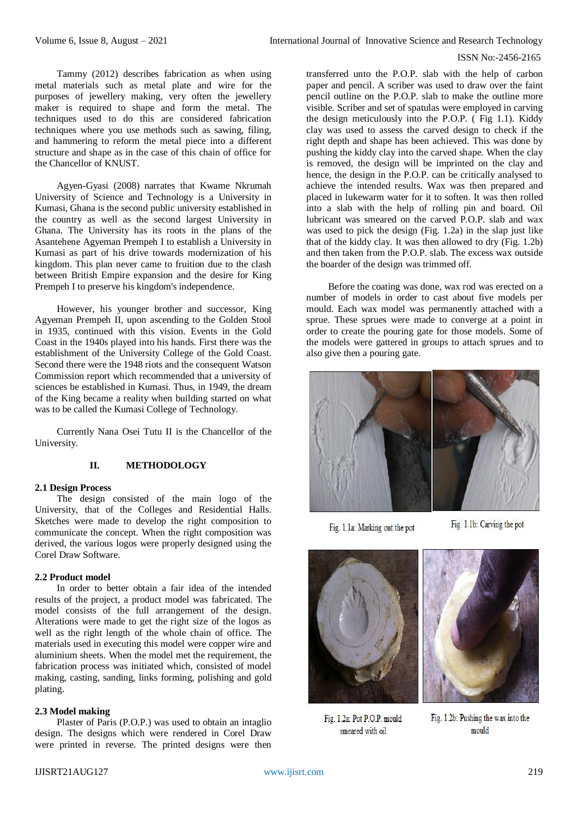## ISSN No:-2456-2165

Tammy (2012) describes fabrication as when using metal materials such as metal plate and wire for the purposes of jewellery making, very often the jewellery maker is required to shape and form the metal. The techniques used to do this are considered fabrication techniques where you use methods such as sawing, filing, and hammering to reform the metal piece into a different structure and shape as in the case of this chain of office for the Chancellor of KNUST.

Agyen-Gyasi (2008) narrates that Kwame Nkrumah University of Science and Technology is a [University](http://en.wikipedia.org/wiki/University) in [Kumasi,](http://en.wikipedia.org/wiki/Kumasi) [Ghana](http://en.wikipedia.org/wiki/Ghana) is the second public [university](http://en.wikipedia.org/wiki/Public_University) established in the country as well as the second largest [University](http://en.wikipedia.org/wiki/University) in [Ghana.](http://en.wikipedia.org/wiki/Ghana) The University has its roots in the plans of the [Asantehene Agyeman Prempeh I](http://en.wikipedia.org/w/index.php?title=Asantehene_Agyeman_Prempeh_I&action=edit&redlink=1) to establish a University in [Kumasi](http://en.wikipedia.org/wiki/Kumasi) as part of his drive towards modernization of his kingdom. This plan never came to fruition due to the clash between British Empire expansion and the desire for King [Prempeh I](http://en.wikipedia.org/wiki/Prempeh_I) to preserve his kingdom's independence.

However, his younger brother and successor, [King](http://en.wikipedia.org/w/index.php?title=King_Agyeman_Prempeh_II&action=edit&redlink=1)  [Agyeman Prempeh II,](http://en.wikipedia.org/w/index.php?title=King_Agyeman_Prempeh_II&action=edit&redlink=1) upon ascending to the [Golden Stool](http://en.wikipedia.org/wiki/Golden_Stool) in 1935, continued with this vision. Events in the Gold Coast in the 1940s played into his hands. First there was the establishment of the University College of the Gold Coast. Second there were the 1948 riots and the consequent Watson Commission report which recommended that a university of sciences be established in [Kumasi.](http://en.wikipedia.org/wiki/Kumasi) Thus, in 1949, the dream of the King became a reality when building started on what was to be called the Kumasi College of Technology.

Currently Nana Osei Tutu II is the Chancellor of the University.

# **II. METHODOLOGY**

## **2.1 Design Process**

The design consisted of the main logo of the University, that of the Colleges and Residential Halls. Sketches were made to develop the right composition to communicate the concept. When the right composition was derived, the various logos were properly designed using the Corel Draw Software.

## **2.2 Product model**

In order to better obtain a fair idea of the intended results of the project, a product model was fabricated. The model consists of the full arrangement of the design. Alterations were made to get the right size of the logos as well as the right length of the whole chain of office. The materials used in executing this model were copper wire and aluminium sheets. When the model met the requirement, the fabrication process was initiated which, consisted of model making, casting, sanding, links forming, polishing and gold plating.

## **2.3 Model making**

Plaster of Paris (P.O.P.) was used to obtain an intaglio design. The designs which were rendered in Corel Draw were printed in reverse. The printed designs were then

transferred unto the P.O.P. slab with the help of carbon paper and pencil. A scriber was used to draw over the faint pencil outline on the P.O.P. slab to make the outline more visible. Scriber and set of spatulas were employed in carving the design meticulously into the P.O.P. ( Fig 1.1). Kiddy clay was used to assess the carved design to check if the right depth and shape has been achieved. This was done by pushing the kiddy clay into the carved shape. When the clay is removed, the design will be imprinted on the clay and hence, the design in the P.O.P. can be critically analysed to achieve the intended results. Wax was then prepared and placed in lukewarm water for it to soften. It was then rolled into a slab with the help of rolling pin and board. Oil lubricant was smeared on the carved P.O.P. slab and wax was used to pick the design (Fig. 1.2a) in the slap just like that of the kiddy clay. It was then allowed to dry (Fig. 1.2b) and then taken from the P.O.P. slab. The excess wax outside the boarder of the design was trimmed off.

Before the coating was done, wax rod was erected on a number of models in order to cast about five models per mould. Each wax model was permanently attached with a sprue. These sprues were made to converge at a point in order to create the pouring gate for those models. Some of the models were gattered in groups to attach sprues and to also give then a pouring gate.



Fig. 1.1a: Marking out the pot

Fig. 1.1b: Carving the pot



Fig. 1.2a: Pot P.O.P. mould smeared with oil



Fig. 1.2b: Pushing the wax into the mould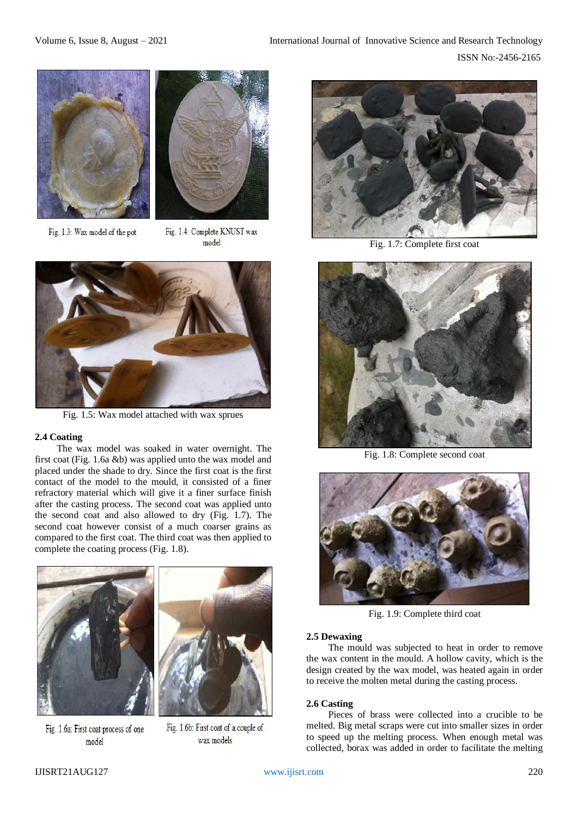



Fig. 1.3: Wax model of the pot

Fig. 1.4: Complete KNUST wax model



Fig. 1.5: Wax model attached with wax sprues

# **2.4 Coating**

The wax model was soaked in water overnight. The first coat (Fig. 1.6a &b) was applied unto the wax model and placed under the shade to dry. Since the first coat is the first contact of the model to the mould, it consisted of a finer refractory material which will give it a finer surface finish after the casting process. The second coat was applied unto the second coat and also allowed to dry (Fig. 1.7). The second coat however consist of a much coarser grains as compared to the first coat. The third coat was then applied to complete the coating process (Fig. 1.8).





Fig. 1.6a: First coat process of one model

Fig. 1.6b: First coat of a couple of wax models



Fig. 1.7: Complete first coat



Fig. 1.8: Complete second coat



Fig. 1.9: Complete third coat

# **2.5 Dewaxing**

The mould was subjected to heat in order to remove the wax content in the mould. A hollow cavity, which is the design created by the wax model, was heated again in order to receive the molten metal during the casting process.

# **2.6 Casting**

Pieces of brass were collected into a crucible to be melted. Big metal scraps were cut into smaller sizes in order to speed up the melting process. When enough metal was collected, borax was added in order to facilitate the melting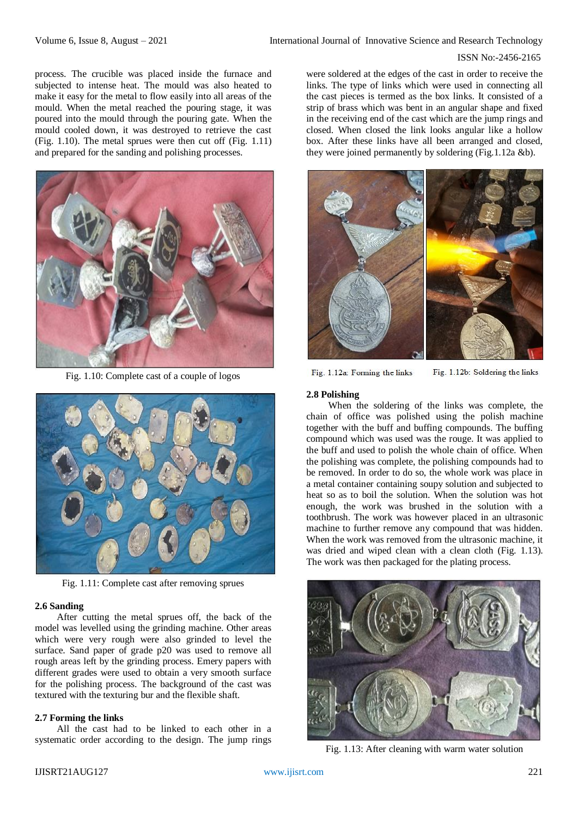## ISSN No:-2456-2165

process. The crucible was placed inside the furnace and subjected to intense heat. The mould was also heated to make it easy for the metal to flow easily into all areas of the mould. When the metal reached the pouring stage, it was poured into the mould through the pouring gate. When the mould cooled down, it was destroyed to retrieve the cast (Fig. 1.10). The metal sprues were then cut off (Fig. 1.11) and prepared for the sanding and polishing processes.



Fig. 1.10: Complete cast of a couple of logos



Fig. 1.11: Complete cast after removing sprues

## **2.6 Sanding**

After cutting the metal sprues off, the back of the model was levelled using the grinding machine. Other areas which were very rough were also grinded to level the surface. Sand paper of grade p20 was used to remove all rough areas left by the grinding process. Emery papers with different grades were used to obtain a very smooth surface for the polishing process. The background of the cast was textured with the texturing bur and the flexible shaft.

## **2.7 Forming the links**

All the cast had to be linked to each other in a systematic order according to the design. The jump rings were soldered at the edges of the cast in order to receive the links. The type of links which were used in connecting all the cast pieces is termed as the box links. It consisted of a strip of brass which was bent in an angular shape and fixed in the receiving end of the cast which are the jump rings and closed. When closed the link looks angular like a hollow box. After these links have all been arranged and closed, they were joined permanently by soldering (Fig.1.12a &b).



Fig. 1.12a: Forming the links

Fig. 1.12b: Soldering the links

## **2.8 Polishing**

When the soldering of the links was complete, the chain of office was polished using the polish machine together with the buff and buffing compounds. The buffing compound which was used was the rouge. It was applied to the buff and used to polish the whole chain of office. When the polishing was complete, the polishing compounds had to be removed. In order to do so, the whole work was place in a metal container containing soupy solution and subjected to heat so as to boil the solution. When the solution was hot enough, the work was brushed in the solution with a toothbrush. The work was however placed in an ultrasonic machine to further remove any compound that was hidden. When the work was removed from the ultrasonic machine, it was dried and wiped clean with a clean cloth (Fig. 1.13). The work was then packaged for the plating process.



Fig. 1.13: After cleaning with warm water solution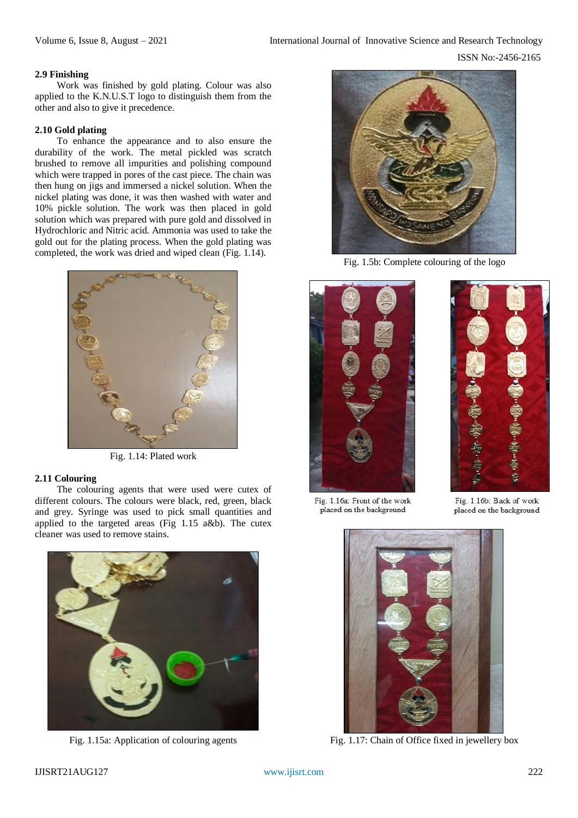# **2.9 Finishing**

Work was finished by gold plating. Colour was also applied to the K.N.U.S.T logo to distinguish them from the other and also to give it precedence.

## **2.10 Gold plating**

To enhance the appearance and to also ensure the durability of the work. The metal pickled was scratch brushed to remove all impurities and polishing compound which were trapped in pores of the cast piece. The chain was then hung on jigs and immersed a nickel solution. When the nickel plating was done, it was then washed with water and 10% pickle solution. The work was then placed in gold solution which was prepared with pure gold and dissolved in Hydrochloric and Nitric acid. Ammonia was used to take the gold out for the plating process. When the gold plating was completed, the work was dried and wiped clean (Fig. 1.14).



Fig. 1.14: Plated work

# **2.11 Colouring**

The colouring agents that were used were cutex of different colours. The colours were black, red, green, black and grey. Syringe was used to pick small quantities and applied to the targeted areas (Fig 1.15 a&b). The cutex cleaner was used to remove stains.



Fig. 1.15a: Application of colouring agents



Fig. 1.5b: Complete colouring of the logo





Fig. 1.16a: Front of the work placed on the background

Fig. 1.16b: Back of work placed on the background



Fig. 1.17: Chain of Office fixed in jewellery box